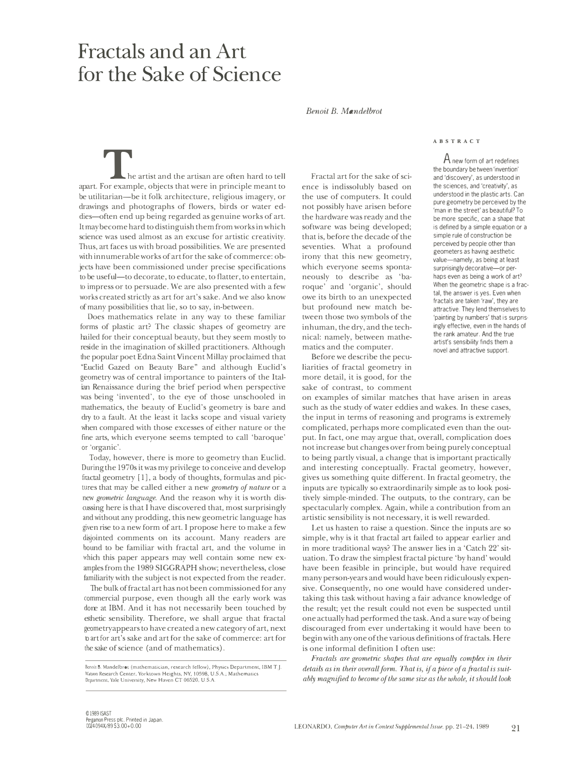**L**<br> **L**<br> **P** he artist and the artisan are often hard to tell<br>
apart. For example, objects that were in principle meant to be utilitarian-be it folk architecture, religious imagery, or drawings and photographs of flowers, birds or water eddies-often end up being regarded as genuine works of art. It may become hard to distinguish them from works in which science was used almost as an excuse for artistic creativity. Thus, art faces us with broad possibilities. We are presented with innumerable works of art for the sake of commerce: objects have been commissioned under precise specifications to be useful-to decorate, to educate, to flatter, to entertain, to impress or to persuade. We are also presented with a few works created strictly as art for art's sake. And we also know of many possibilities that lie, so to say, in-between.

Does mathematics relate in any way to these familiar forms of plastic art? The classic shapes of geometry are hailed for their conceptual beauty, but they seem mostly to reside in the imagination of skilled practitioners. Although the popular poet Edna Saint Vincent Millay proclaimed that "Euclid Gazed on Beauty Bare" and although Euclid's geometry was of central importance to painters of the Italian Renaissance during the brief period when perspective was being 'invented', to the eye of those unschooled in mathematics, the beauty of Euclid's geometry is bare and dry to a fault. At the least it lacks scope and visual variety when compared with those excesses of either nature or the fine arts, which everyone seems tempted to call 'baroque' or 'organic'.

Today, however, there is more to geometry than Euclid. During the 1970s it was my privilege to conceive and develop fractal geometry [l], a body of thoughts, formulas and pictures that may be called either a new *geometry of nature* or a new *geometric language.* And the reason why it is worth discussing here is that I have discovered that, most surprisingly and without any prodding, this new geometric language has given rise to a new form of art. I propose here to make a few disjointed comments on its account. Many readers are bound to be familiar with fractal art, and the volume in which this paper appears may well contain some new examples from the 1989 SIGGRAPH show; nevertheless, close familiarity with the subject is not expected from the reader.

The bulk of fractal art has not been commissioned for any commercial purpose, even though all the early work was done at IBM. And it has not necessarily been touched by esthetic sensibility. Therefore, we shall argue that fractal geometry appears to have created a new category of art, next to art for art's sake and art for the sake of commerce: art for the sake of science ( and of mathematics).

## *Benoit B. Mandelbrot*

Fractal art for the sake of science is indissolubly based on the use of computers. It could not possibly have arisen before the hardware was ready and the software was being developed; that is, before the decade of the seventies. What a profound irony that this new geometry, which everyone seems spontaneously to describe as 'baroque' and 'organic', should owe its birth to an unexpected but profound new match between those two symbols of the inhuman, the dry, and the technical: namely, between mathematics and the computer.

Before we describe the peculiarities of fractal geometry in more detail, it is good, for the sake of contrast, to comment

## ABSTRACT

**A** new form of art redefines the boundary between 'invention' and 'discovery', as understood in the sciences, and 'creativity', as understood in the plastic arts. Can pure geometry be perceived by the 'man in the street' as beautiful? To be more specific, can a shape that is defined by a simple equation or a simple rule of construction be perceived by people other than geometers as having aesthetic value-namely, as being at least surprisingly decorative-or perhaps even as being a work of art? When the geometric shape is a fractal, the answer is yes. Even when fractals are taken 'raw', they are attractive. They lend themselves to 'painting by numbers' that is surpris· ingly effective, even in the hands of the rank amateur. And the true artist's sensibility finds them a novel and attractive support.

on examples of similar matches that have arisen in areas such as the study of water eddies and wakes. In these cases, the input in terms of reasoning and programs is extremely complicated, perhaps more complicated even than the output. In fact, one may argue that, overall, complication does not increase but changes over from being purely conceptual to being partly visual, a change that is important practically and interesting conceptually. Fractal geometry, however, gives us something quite different. In fractal geometry, the inputs are typically so extraordinarily simple as to look positively simple-minded. The outputs, to the contrary, can be spectacularly complex. Again, while a contribution from an artistic sensibility is not necessary, it is well rewarded.

Let us hasten to raise a question. Since the inputs are so simple, why is it that fractal art failed to appear earlier and in more traditional ways? The answer lies in a 'Catch 22' situation. To draw the simplest fractal picture 'by hand' would have been feasible in principle, but would have required many person-years and would have been ridiculously expensive. Consequently, no one would have considered undertaking this task without having a fair advance knowledge of the result; yet the result could not even be suspected until one actually had performed the task. And a sure way of being discouraged from ever undertaking it would have been to begin with any one of the various definitions of fractals. Here is one informal definition I often use:

*Fractals are geometric shapes that are equally complex in their details as in their overall form. That is, if a piece of a fractal is suitably magnified lo become of the same size as the whole, it should look* 

**Benoit B. Mandelbrol (mathematician, research fellow), Physics Department, IBM T.J. Watson Research Center, Yorktown Heights, NY, I0598, U.S.A.; Mathematics Department, Yale University, New Haven CT 06520. U.S.A.**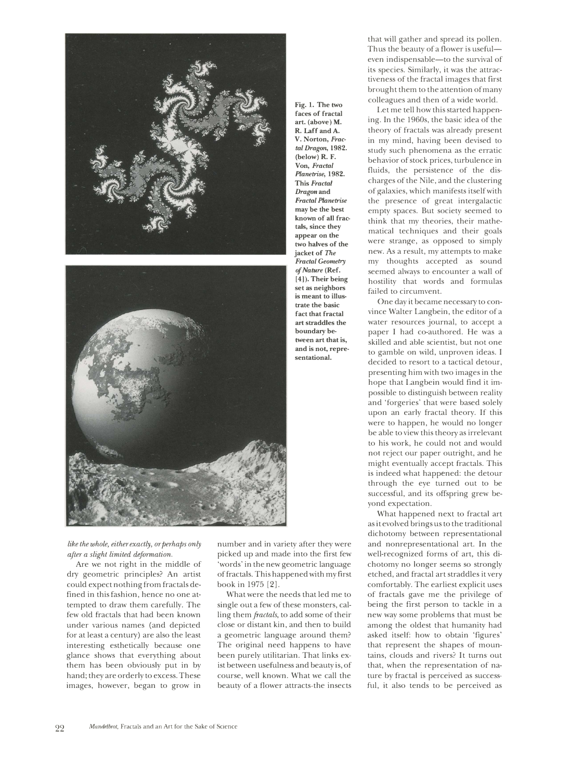



*like the whole, either exactly, or perhaps only after a slight limited deformation.* 

Are we not right in the middle of dry geometric principles? An artist could expect nothing from fractals defined in this fashion, hence no one at· tempted to draw them carefully. The few old fractals that had been known under various names (and depicted for at least a century) are also the least interesting esthetically because one glance shows that everything about them has been obviously put in by hand; they are orderly to excess. These images, however, began to grow in number and in variety after they were picked up and made into the first few 'words' in the new geometric language of fractals. This happened with my first book in 1975 [2].

*of Nature* **(Ref. [4]). Their being set as neighbors is meant to illustrate the basic fact that fractal art straddles the boundary between art that is, and is not, representational.** 

What were the needs that led me to single out a few of these monsters, calling them *fractals,* to add some of their close or distant kin, and then to build a geometric language around them? The original need happens to have been purely utilitarian. That links exist between usefulness and beauty is, of course, well known. What we call the beauty of a flower attracts-the insects

that will gather and spread its pollen. Thus the beauty of a flower is usefuleven indispensable-to the survival of its species. Similarly, it was the attractiveness of the fractal images that first brought them to the attention of many colleagues and then of a wide world.

Let me tell how this started happening. In the 1960s, the basic idea of the theory of fractals was already present in my mind, having been devised to study such phenomena as the erratic behavior of stock prices, turbulence in fluids, the persistence of the discharges of the Nile, and the clustering of galaxies, which manifests itself with the presence of great intergalactic empty spaces. But society seemed to think that my theories, their mathematical techniques and their goals were strange, as opposed to simply new. As a result, my attempts to make my thoughts accepted as sound seemed always to encounter a wall of hostility that words and formulas failed to circumvent.

One day it became necessary to convince Walter Langbein, the editor of a water resources journal, to accept a paper I had co-authored. He was a skilled and able scientist, but not one to gamble on wild, unproven ideas. I decided to resort to a tactical detour, presenting him with two images in the hope that Langbein would find it impossible to distinguish between reality and 'forgeries' that were based solely upon an early fractal theory. If this were to happen, he would no longer be able to view this theory as irrelevant to his work, he could not and would not reject our paper outright, and he might eventually accept fractals. This is indeed what happened: the detour through the eye turned out to be successful, and its offspring grew beyond expectation.

What happened next to fractal art as it evolved brings us to the traditional dichotomy between representational and nonrepresentational art. In the well-recognized forms of art, this dichotomy no longer seems so strongly etched, and fractal art straddles it very comfortably. The earliest explicit uses of fractals gave me the privilege of being the first person to tackle in a new way some problems that must be among the oldest that humanity had asked itself: how to obtain 'figures' that represent the shapes of mountains, clouds and rivers? It turns· out that, when the representation of nature by fractal is perceived as successful, it also tends to be perceived as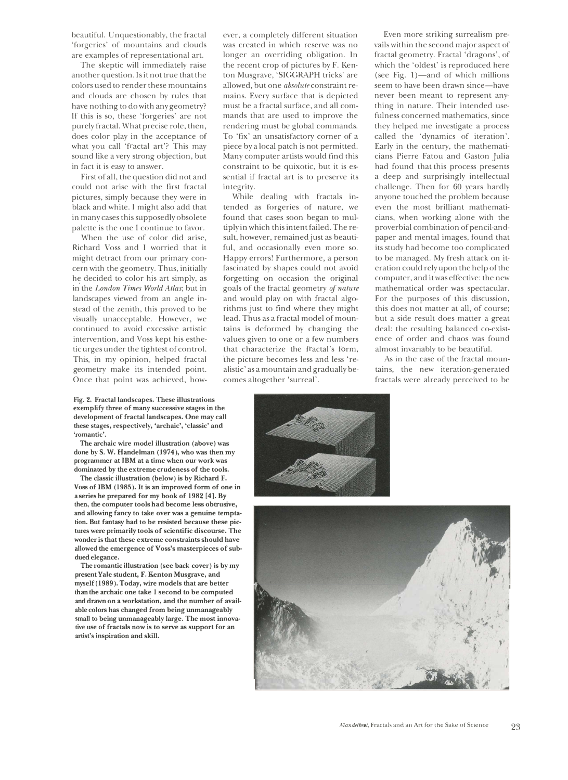beautiful. Unquestionably, the fractal 'forgeries' of mountains and clouds are examples of representational art.

The skeptic will immediately raise another question. Is it not true that the colors used to render these mountains and clouds are chosen by rules that have nothing to do with any geometry? If this is so, these 'forgeries' are not purely fractal. What precise role, then, does color play in the acceptance of what you call 'fractal art'? This may sound like a very strong objection, but in fact it is easy **to** answer.

First ofall, the question did not and could not arise with the first fractal pictures, simply because they were in black and white. I might also add that in many cases this supposedly obsolete palette is the one I continue to favor.

When the use of color did arise, Richard Voss and I worried that it might detract from our primary concern with the geometry. Thus, initially he decided to color his art simply, as in' the *London Times World Atlas;* but in landscapes viewed from an angle instead of the zenith, this proved to be visually unacceptable. However, we continued to avoid excessive artistic intervention, and Voss kept his esthetic urges under the tightest of control. This, in my opinion, helped fractal geometry make its intended point. Once that point was achieved, how-

**Fig. 2. Fractal landscapes. These illustrations exemplify three of many successive stages in the development of fractal landscapes. One may call these stages, respectively, 'archaic', 'classic' and 'romantic'.** 

**The archaic wire model illustration (above) was done by S. W. Handelman (1974), who was then my programmer at IBM at a time when our work was dominated by the extreme crudeness of the tools.** 

**The classic illustration (below) is by Richard F.**  Voss of IBM (1985). It is an improved form of one in **a series he prepared for my book of** 1982 (4). **By then, the computer tools had become less obtrusive, and allowing fancy to take over was a genuine temptation. But fantasy had to be resisted because these pictures were primarily tools of scientific discourse. The wonder is that these extreme constraints should have allowed the emergence of Voss's masterpieces of subdued elegance.** 

**The romantic illustration (see back cover) is by my present Yale student,** F. **Kenton Musgrave, and myself** (1989). **Today, wire models that are better than the archaic one take l second to be computed and drawn on a workstation, and the number of available colors has changed from being unmanageably small to being unmanageably large. The most innovative use of fractals now is to serve as support for an artist's inspiration and skill .** 

ever, a completely different situation was created in which reserve was no longer an overriding obligation. In the recent crop of pictures by F. Kenton Musgrave, 'SIGGRAPH tricks' are allowed, but one *absolute* constraint remains. Every surface that is depicted must be a fractal surface, and all commands that are used to improve the rendering must be global commands. To 'fix' an unsatisfactory corner of a piece by a local patch is not permitted. Many computer artists would find this constraint to be quixotic, but it is essential if fractal art is to preserve its integrity.

While dealing with fractals intended as forgeries of nature, we found that cases soon began to multiply in which this intent failed. The result, however, remained just as beautiful, and occasionally even more so. Happy errors! Furthermore, a person fascinated by shapes could not avoid forgetting on occasion the original goals of the fractal geometry *of nature* and would play on with fractal algorithms just to find where they might lead. Thus as a fractal model of mountains is deformed by changing the values given **to** one or a few numbers that characterize the fractal's form, 'the picture becomes less and less 'realistic' as a mountain and gradually becomes altogether 'surreal'.

Even more striking surrealism prevails within the second major aspect of fractal geometry. Fractal 'dragons', of which the 'oldest' is reproduced here (see Fig.  $1$ )—and of which millions seem to have been drawn since-have never been meant to represent anything in nature. Their intended usefulness concerned mathematics, since they helped me investigate a process called the 'dynamics of iteration'. Early in the century, the mathematicians Pierre Fatou and Gaston Julia had found that this process presents a deep and surprisingly intellectual challenge. Then for 60 years hardly anyone touched the problem because even the most brilliant mathematicians, when working alone with the proverbial combination of pencil-andpaper and mental images, found that its study had become too complicated to be managed. My fresh attack on iteration could rely upon the help of the computer, and It was effective: the new mathematical order was spectacular. For the purposes of this discussion, this does not matter at all, of course; but a side result does matter a great deal: the resulting balanced co-existence of order and chaos was found almost invariably to be beautiful.

As in the case of the fractal mountains, the new iteration-generated fractals were already perceived to be